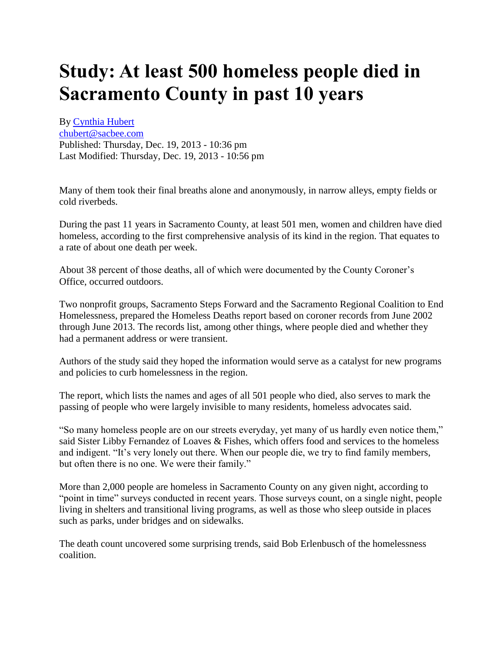## **Study: At least 500 homeless people died in Sacramento County in past 10 years**

By [Cynthia Hubert](http://www.sacbee.com/search_results/?sf_pubsys_story_byline=Cynthia%20Hubert&link_location=top) [chubert@sacbee.com](mailto:chubert@sacbee.com) Published: Thursday, Dec. 19, 2013 - 10:36 pm Last Modified: Thursday, Dec. 19, 2013 - 10:56 pm

Many of them took their final breaths alone and anonymously, in narrow alleys, empty fields or cold riverbeds.

During the past 11 years in Sacramento County, at least 501 men, women and children have died homeless, according to the first comprehensive analysis of its kind in the region. That equates to a rate of about one death per week.

About 38 percent of those deaths, all of which were documented by the County Coroner's Office, occurred outdoors.

Two nonprofit groups, Sacramento Steps Forward and the Sacramento Regional Coalition to End Homelessness, prepared the Homeless Deaths report based on coroner records from June 2002 through June 2013. The records list, among other things, where people died and whether they had a permanent address or were transient.

Authors of the study said they hoped the information would serve as a catalyst for new programs and policies to curb homelessness in the region.

The report, which lists the names and ages of all 501 people who died, also serves to mark the passing of people who were largely invisible to many residents, homeless advocates said.

"So many homeless people are on our streets everyday, yet many of us hardly even notice them," said Sister Libby Fernandez of Loaves & Fishes, which offers food and services to the homeless and indigent. "It's very lonely out there. When our people die, we try to find family members, but often there is no one. We were their family."

More than 2,000 people are homeless in Sacramento County on any given night, according to "point in time" surveys conducted in recent years. Those surveys count, on a single night, people living in shelters and transitional living programs, as well as those who sleep outside in places such as parks, under bridges and on sidewalks.

The death count uncovered some surprising trends, said Bob Erlenbusch of the homelessness coalition.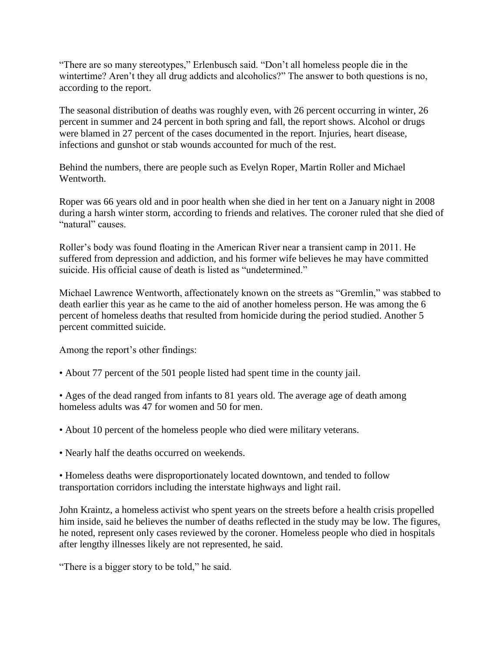"There are so many stereotypes," Erlenbusch said. "Don't all homeless people die in the wintertime? Aren't they all drug addicts and alcoholics?" The answer to both questions is no, according to the report.

The seasonal distribution of deaths was roughly even, with 26 percent occurring in winter, 26 percent in summer and 24 percent in both spring and fall, the report shows. Alcohol or drugs were blamed in 27 percent of the cases documented in the report. Injuries, heart disease, infections and gunshot or stab wounds accounted for much of the rest.

Behind the numbers, there are people such as Evelyn Roper, Martin Roller and Michael Wentworth.

Roper was 66 years old and in poor health when she died in her tent on a January night in 2008 during a harsh winter storm, according to friends and relatives. The coroner ruled that she died of "natural" causes.

Roller's body was found floating in the American River near a transient camp in 2011. He suffered from depression and addiction, and his former wife believes he may have committed suicide. His official cause of death is listed as "undetermined."

Michael Lawrence Wentworth, affectionately known on the streets as "Gremlin," was stabbed to death earlier this year as he came to the aid of another homeless person. He was among the 6 percent of homeless deaths that resulted from homicide during the period studied. Another 5 percent committed suicide.

Among the report's other findings:

• About 77 percent of the 501 people listed had spent time in the county jail.

• Ages of the dead ranged from infants to 81 years old. The average age of death among homeless adults was 47 for women and 50 for men.

• About 10 percent of the homeless people who died were military veterans.

• Nearly half the deaths occurred on weekends.

• Homeless deaths were disproportionately located downtown, and tended to follow transportation corridors including the interstate highways and light rail.

John Kraintz, a homeless activist who spent years on the streets before a health crisis propelled him inside, said he believes the number of deaths reflected in the study may be low. The figures, he noted, represent only cases reviewed by the coroner. Homeless people who died in hospitals after lengthy illnesses likely are not represented, he said.

"There is a bigger story to be told," he said.